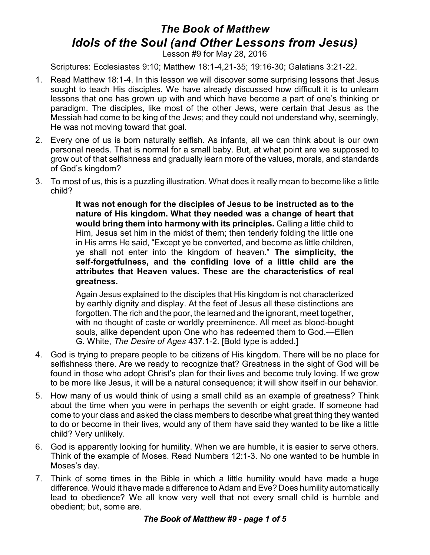## *The Book of Matthew Idols of the Soul (and Other Lessons from Jesus)*

Lesson #9 for May 28, 2016

Scriptures: Ecclesiastes 9:10; Matthew 18:1-4,21-35; 19:16-30; Galatians 3:21-22.

- 1. Read Matthew 18:1-4. In this lesson we will discover some surprising lessons that Jesus sought to teach His disciples. We have already discussed how difficult it is to unlearn lessons that one has grown up with and which have become a part of one's thinking or paradigm. The disciples, like most of the other Jews, were certain that Jesus as the Messiah had come to be king of the Jews; and they could not understand why, seemingly, He was not moving toward that goal.
- 2. Every one of us is born naturally selfish. As infants, all we can think about is our own personal needs. That is normal for a small baby. But, at what point are we supposed to grow out of that selfishness and gradually learn more of the values, morals, and standards of God's kingdom?
- 3. To most of us, this is a puzzling illustration. What does it really mean to become like a little child?

**It was not enough for the disciples of Jesus to be instructed as to the nature of His kingdom. What they needed was a change of heart that would bring them into harmony with its principles.** Calling a little child to Him, Jesus set him in the midst of them; then tenderly folding the little one in His arms He said, "Except ye be converted, and become as little children, ye shall not enter into the kingdom of heaven." **The simplicity, the self-forgetfulness, and the confiding love of a little child are the attributes that Heaven values. These are the characteristics of real greatness.**

Again Jesus explained to the disciples that His kingdom is not characterized by earthly dignity and display. At the feet of Jesus all these distinctions are forgotten. The rich and the poor, the learned and the ignorant, meet together, with no thought of caste or worldly preeminence. All meet as blood-bought souls, alike dependent upon One who has redeemed them to God.—Ellen G. White, *The Desire of Ages* 437.1-2. [Bold type is added.]

- 4. God is trying to prepare people to be citizens of His kingdom. There will be no place for selfishness there. Are we ready to recognize that? Greatness in the sight of God will be found in those who adopt Christ's plan for their lives and become truly loving. If we grow to be more like Jesus, it will be a natural consequence; it will show itself in our behavior.
- 5. How many of us would think of using a small child as an example of greatness? Think about the time when you were in perhaps the seventh or eight grade. If someone had come to your class and asked the class members to describe what great thing they wanted to do or become in their lives, would any of them have said they wanted to be like a little child? Very unlikely.
- 6. God is apparently looking for humility. When we are humble, it is easier to serve others. Think of the example of Moses. Read Numbers 12:1-3. No one wanted to be humble in Moses's day.
- 7. Think of some times in the Bible in which a little humility would have made a huge difference. Would it have made a difference to Adam and Eve? Does humility automatically lead to obedience? We all know very well that not every small child is humble and obedient; but, some are.

## *The Book of Matthew #9 - page 1 of 5*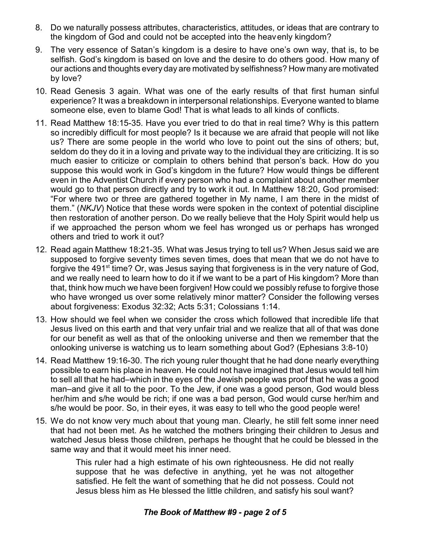- 8. Do we naturally possess attributes, characteristics, attitudes, or ideas that are contrary to the kingdom of God and could not be accepted into the heavenly kingdom?
- 9. The very essence of Satan's kingdom is a desire to have one's own way, that is, to be selfish. God's kingdom is based on love and the desire to do others good. How many of our actions and thoughts every day are motivated by selfishness? How many are motivated by love?
- 10. Read Genesis 3 again. What was one of the early results of that first human sinful experience? It was a breakdown in interpersonal relationships. Everyone wanted to blame someone else, even to blame God! That is what leads to all kinds of conflicts.
- 11. Read Matthew 18:15-35. Have you ever tried to do that in real time? Why is this pattern so incredibly difficult for most people? Is it because we are afraid that people will not like us? There are some people in the world who love to point out the sins of others; but, seldom do they do it in a loving and private way to the individual they are criticizing. It is so much easier to criticize or complain to others behind that person's back. How do you suppose this would work in God's kingdom in the future? How would things be different even in the Adventist Church if every person who had a complaint about another member would go to that person directly and try to work it out. In Matthew 18:20, God promised: "For where two or three are gathered together in My name, I am there in the midst of them." (*NKJV*) Notice that these words were spoken in the context of potential discipline then restoration of another person. Do we really believe that the Holy Spirit would help us if we approached the person whom we feel has wronged us or perhaps has wronged others and tried to work it out?
- 12. Read again Matthew 18:21-35. What was Jesus trying to tell us? When Jesus said we are supposed to forgive seventy times seven times, does that mean that we do not have to forgive the 491<sup>st</sup> time? Or, was Jesus saying that forgiveness is in the very nature of God, and we really need to learn how to do it if we want to be a part of His kingdom? More than that, think how much we have been forgiven! How could we possibly refuse to forgive those who have wronged us over some relatively minor matter? Consider the following verses about forgiveness: Exodus 32:32; Acts 5:31; Colossians 1:14.
- 13. How should we feel when we consider the cross which followed that incredible life that Jesus lived on this earth and that very unfair trial and we realize that all of that was done for our benefit as well as that of the onlooking universe and then we remember that the onlooking universe is watching us to learn something about God? (Ephesians 3:8-10)
- 14. Read Matthew 19:16-30. The rich young ruler thought that he had done nearly everything possible to earn his place in heaven. He could not have imagined that Jesus would tell him to sell all that he had–which in the eyes of the Jewish people was proof that he was a good man–and give it all to the poor. To the Jew, if one was a good person, God would bless her/him and s/he would be rich; if one was a bad person, God would curse her/him and s/he would be poor. So, in their eyes, it was easy to tell who the good people were!
- 15. We do not know very much about that young man. Clearly, he still felt some inner need that had not been met. As he watched the mothers bringing their children to Jesus and watched Jesus bless those children, perhaps he thought that he could be blessed in the same way and that it would meet his inner need.

This ruler had a high estimate of his own righteousness. He did not really suppose that he was defective in anything, yet he was not altogether satisfied. He felt the want of something that he did not possess. Could not Jesus bless him as He blessed the little children, and satisfy his soul want?

## *The Book of Matthew #9 - page 2 of 5*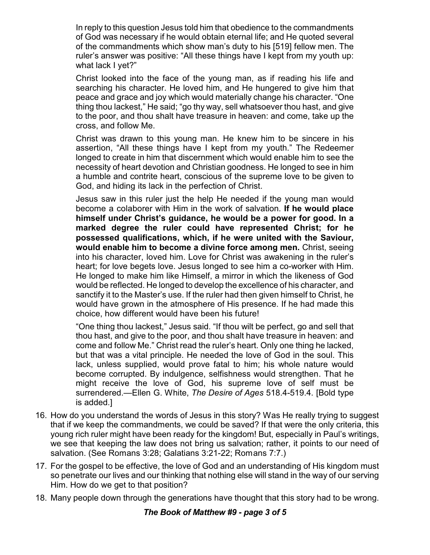In reply to this question Jesus told him that obedience to the commandments of God was necessary if he would obtain eternal life; and He quoted several of the commandments which show man's duty to his [519] fellow men. The ruler's answer was positive: "All these things have I kept from my youth up: what lack I yet?"

Christ looked into the face of the young man, as if reading his life and searching his character. He loved him, and He hungered to give him that peace and grace and joy which would materially change his character. "One thing thou lackest," He said; "go thy way, sell whatsoever thou hast, and give to the poor, and thou shalt have treasure in heaven: and come, take up the cross, and follow Me.

Christ was drawn to this young man. He knew him to be sincere in his assertion, "All these things have I kept from my youth." The Redeemer longed to create in him that discernment which would enable him to see the necessity of heart devotion and Christian goodness. He longed to see in him a humble and contrite heart, conscious of the supreme love to be given to God, and hiding its lack in the perfection of Christ.

Jesus saw in this ruler just the help He needed if the young man would become a colaborer with Him in the work of salvation. **If he would place himself under Christ's guidance, he would be a power for good. In a marked degree the ruler could have represented Christ; for he possessed qualifications, which, if he were united with the Saviour, would enable him to become a divine force among men.** Christ, seeing into his character, loved him. Love for Christ was awakening in the ruler's heart; for love begets love. Jesus longed to see him a co-worker with Him. He longed to make him like Himself, a mirror in which the likeness of God would be reflected. He longed to develop the excellence of his character, and sanctify it to the Master's use. If the ruler had then given himself to Christ, he would have grown in the atmosphere of His presence. If he had made this choice, how different would have been his future!

"One thing thou lackest," Jesus said. "If thou wilt be perfect, go and sell that thou hast, and give to the poor, and thou shalt have treasure in heaven: and come and follow Me." Christ read the ruler's heart. Only one thing he lacked, but that was a vital principle. He needed the love of God in the soul. This lack, unless supplied, would prove fatal to him; his whole nature would become corrupted. By indulgence, selfishness would strengthen. That he might receive the love of God, his supreme love of self must be surrendered.—Ellen G. White, *The Desire of Ages* 518.4-519.4. [Bold type is added.]

- 16. How do you understand the words of Jesus in this story? Was He really trying to suggest that if we keep the commandments, we could be saved? If that were the only criteria, this young rich ruler might have been ready for the kingdom! But, especially in Paul's writings, we see that keeping the law does not bring us salvation; rather, it points to our need of salvation. (See Romans 3:28; Galatians 3:21-22; Romans 7:7.)
- 17. For the gospel to be effective, the love of God and an understanding of His kingdom must so penetrate our lives and our thinking that nothing else will stand in the way of our serving Him. How do we get to that position?
- 18. Many people down through the generations have thought that this story had to be wrong.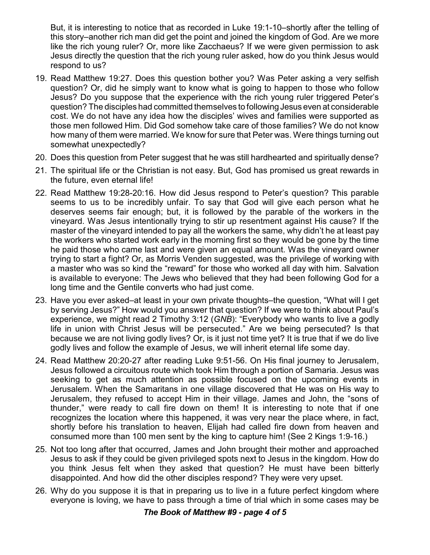But, it is interesting to notice that as recorded in Luke 19:1-10–shortly after the telling of this story–another rich man did get the point and joined the kingdom of God. Are we more like the rich young ruler? Or, more like Zacchaeus? If we were given permission to ask Jesus directly the question that the rich young ruler asked, how do you think Jesus would respond to us?

- 19. Read Matthew 19:27. Does this question bother you? Was Peter asking a very selfish question? Or, did he simply want to know what is going to happen to those who follow Jesus? Do you suppose that the experience with the rich young ruler triggered Peter's question? The disciples had committed themselves to following Jesus even at considerable cost. We do not have any idea how the disciples' wives and families were supported as those men followed Him. Did God somehow take care of those families? We do not know how many of them were married. We know for sure that Peter was. Were things turning out somewhat unexpectedly?
- 20. Does this question from Peter suggest that he was still hardhearted and spiritually dense?
- 21. The spiritual life or the Christian is not easy. But, God has promised us great rewards in the future, even eternal life!
- 22. Read Matthew 19:28-20:16. How did Jesus respond to Peter's question? This parable seems to us to be incredibly unfair. To say that God will give each person what he deserves seems fair enough; but, it is followed by the parable of the workers in the vineyard. Was Jesus intentionally trying to stir up resentment against His cause? If the master of the vineyard intended to pay all the workers the same, why didn't he at least pay the workers who started work early in the morning first so they would be gone by the time he paid those who came last and were given an equal amount. Was the vineyard owner trying to start a fight? Or, as Morris Venden suggested, was the privilege of working with a master who was so kind the "reward" for those who worked all day with him. Salvation is available to everyone: The Jews who believed that they had been following God for a long time and the Gentile converts who had just come.
- 23. Have you ever asked–at least in your own private thoughts–the question, "What will I get by serving Jesus?" How would you answer that question? If we were to think about Paul's experience, we might read 2 Timothy 3:12 (*GNB*): "Everybody who wants to live a godly life in union with Christ Jesus will be persecuted." Are we being persecuted? Is that because we are not living godly lives? Or, is it just not time yet? It is true that if we do live godly lives and follow the example of Jesus, we will inherit eternal life some day.
- 24. Read Matthew 20:20-27 after reading Luke 9:51-56. On His final journey to Jerusalem, Jesus followed a circuitous route which took Him through a portion of Samaria. Jesus was seeking to get as much attention as possible focused on the upcoming events in Jerusalem. When the Samaritans in one village discovered that He was on His way to Jerusalem, they refused to accept Him in their village. James and John, the "sons of thunder," were ready to call fire down on them! It is interesting to note that if one recognizes the location where this happened, it was very near the place where, in fact, shortly before his translation to heaven, Elijah had called fire down from heaven and consumed more than 100 men sent by the king to capture him! (See 2 Kings 1:9-16.)
- 25. Not too long after that occurred, James and John brought their mother and approached Jesus to ask if they could be given privileged spots next to Jesus in the kingdom. How do you think Jesus felt when they asked that question? He must have been bitterly disappointed. And how did the other disciples respond? They were very upset.
- 26. Why do you suppose it is that in preparing us to live in a future perfect kingdom where everyone is loving, we have to pass through a time of trial which in some cases may be